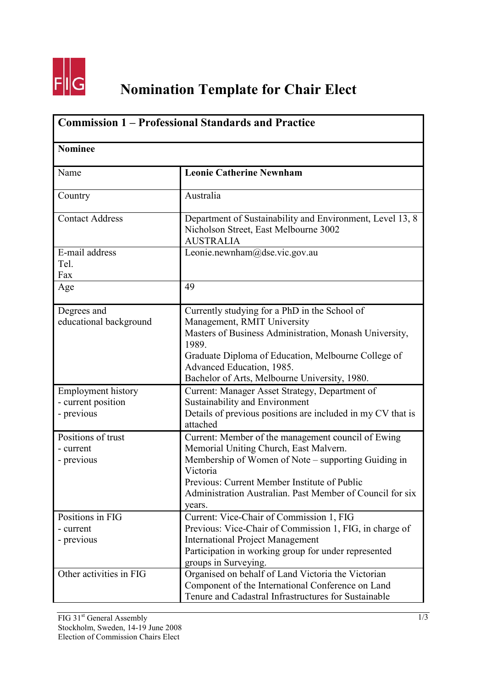

## **Nomination Template for Chair Elect**

| <b>Commission 1 – Professional Standards and Practice</b><br><b>Nominee</b> |                                                                                                                                                                                                                                                                                        |  |
|-----------------------------------------------------------------------------|----------------------------------------------------------------------------------------------------------------------------------------------------------------------------------------------------------------------------------------------------------------------------------------|--|
|                                                                             |                                                                                                                                                                                                                                                                                        |  |
| Country                                                                     | Australia                                                                                                                                                                                                                                                                              |  |
| <b>Contact Address</b>                                                      | Department of Sustainability and Environment, Level 13, 8<br>Nicholson Street, East Melbourne 3002<br><b>AUSTRALIA</b>                                                                                                                                                                 |  |
| E-mail address<br>Tel.<br>Fax                                               | Leonie.newnham@dse.vic.gov.au                                                                                                                                                                                                                                                          |  |
| Age                                                                         | 49                                                                                                                                                                                                                                                                                     |  |
| Degrees and<br>educational background                                       | Currently studying for a PhD in the School of<br>Management, RMIT University<br>Masters of Business Administration, Monash University,<br>1989.<br>Graduate Diploma of Education, Melbourne College of<br>Advanced Education, 1985.<br>Bachelor of Arts, Melbourne University, 1980.   |  |
| <b>Employment history</b><br>- current position<br>- previous               | Current: Manager Asset Strategy, Department of<br>Sustainability and Environment<br>Details of previous positions are included in my CV that is<br>attached                                                                                                                            |  |
| Positions of trust<br>- current<br>- previous                               | Current: Member of the management council of Ewing<br>Memorial Uniting Church, East Malvern.<br>Membership of Women of Note – supporting Guiding in<br>Victoria<br>Previous: Current Member Institute of Public<br>Administration Australian. Past Member of Council for six<br>years. |  |
| Positions in FIG<br>- current<br>- previous                                 | Current: Vice-Chair of Commission 1, FIG<br>Previous: Vice-Chair of Commission 1, FIG, in charge of<br><b>International Project Management</b><br>Participation in working group for under represented<br>groups in Surveying.                                                         |  |
| Other activities in FIG                                                     | Organised on behalf of Land Victoria the Victorian<br>Component of the International Conference on Land<br>Tenure and Cadastral Infrastructures for Sustainable                                                                                                                        |  |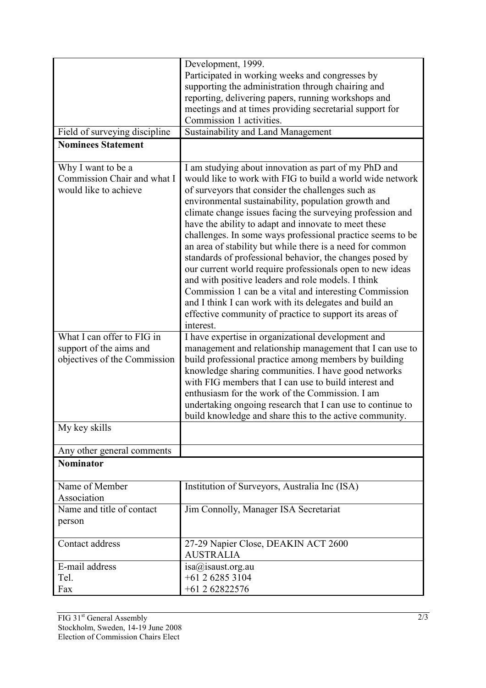|                               | Development, 1999.                                         |
|-------------------------------|------------------------------------------------------------|
|                               | Participated in working weeks and congresses by            |
|                               | supporting the administration through chairing and         |
|                               | reporting, delivering papers, running workshops and        |
|                               | meetings and at times providing secretarial support for    |
|                               | Commission 1 activities.                                   |
| Field of surveying discipline | Sustainability and Land Management                         |
| <b>Nominees Statement</b>     |                                                            |
|                               |                                                            |
| Why I want to be a            | I am studying about innovation as part of my PhD and       |
| Commission Chair and what I   | would like to work with FIG to build a world wide network  |
| would like to achieve         | of surveyors that consider the challenges such as          |
|                               | environmental sustainability, population growth and        |
|                               | climate change issues facing the surveying profession and  |
|                               | have the ability to adapt and innovate to meet these       |
|                               | challenges. In some ways professional practice seems to be |
|                               | an area of stability but while there is a need for common  |
|                               | standards of professional behavior, the changes posed by   |
|                               | our current world require professionals open to new ideas  |
|                               | and with positive leaders and role models. I think         |
|                               | Commission 1 can be a vital and interesting Commission     |
|                               | and I think I can work with its delegates and build an     |
|                               | effective community of practice to support its areas of    |
|                               | interest.                                                  |
| What I can offer to FIG in    | I have expertise in organizational development and         |
| support of the aims and       | management and relationship management that I can use to   |
| objectives of the Commission  | build professional practice among members by building      |
|                               | knowledge sharing communities. I have good networks        |
|                               | with FIG members that I can use to build interest and      |
|                               | enthusiasm for the work of the Commission. I am            |
|                               | undertaking ongoing research that I can use to continue to |
|                               | build knowledge and share this to the active community.    |
| My key skills                 |                                                            |
| Any other general comments    |                                                            |
| <b>Nominator</b>              |                                                            |
|                               |                                                            |
| Name of Member                | Institution of Surveyors, Australia Inc (ISA)              |
| Association                   |                                                            |
| Name and title of contact     | Jim Connolly, Manager ISA Secretariat                      |
| person                        |                                                            |
|                               |                                                            |
| Contact address               | 27-29 Napier Close, DEAKIN ACT 2600                        |
|                               | <b>AUSTRALIA</b>                                           |
| E-mail address                | $is a(a)$ isaust.org.au                                    |
| Tel.                          | $+61262853104$                                             |
| Fax                           | $+61262822576$                                             |